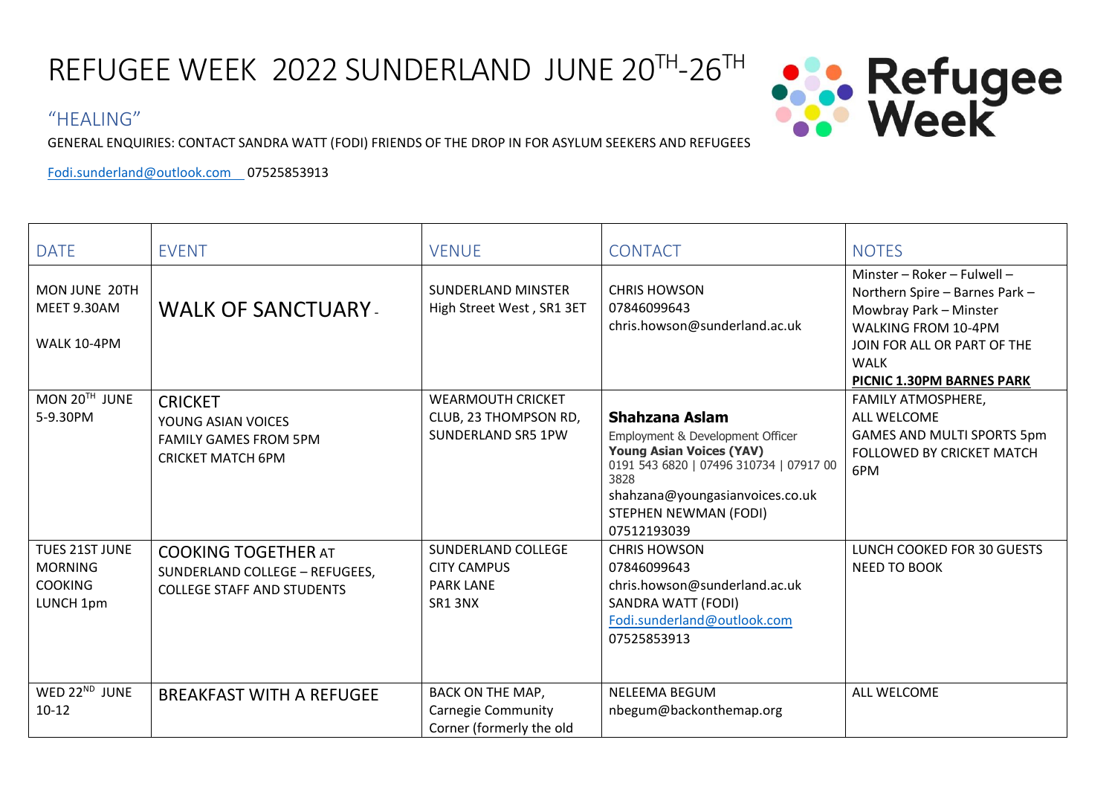REFUGEE WEEK 2022 SUNDERLAND JUNE 20<sup>TH</sup>-26<sup>TH</sup>



## "HEALING"

GENERAL ENQUIRIES: CONTACT SANDRA WATT (FODI) FRIENDS OF THE DROP IN FOR ASYLUM SEEKERS AND REFUGEES

[Fodi.sunderland@outlook.com](mailto:Fodi.sunderland@outlook.com) 07525853913

| <b>DATE</b>                                                     | <b>EVENT</b>                                                                                      | <b>VENUE</b>                                                                     | <b>CONTACT</b>                                                                                                                                                                                                      | <b>NOTES</b>                                                                                                                                                                                     |
|-----------------------------------------------------------------|---------------------------------------------------------------------------------------------------|----------------------------------------------------------------------------------|---------------------------------------------------------------------------------------------------------------------------------------------------------------------------------------------------------------------|--------------------------------------------------------------------------------------------------------------------------------------------------------------------------------------------------|
| MON JUNE 20TH<br>MEET 9.30AM<br>WALK 10-4PM                     | <b>WALK OF SANCTUARY.</b>                                                                         | <b>SUNDERLAND MINSTER</b><br>High Street West, SR1 3ET                           | <b>CHRIS HOWSON</b><br>07846099643<br>chris.howson@sunderland.ac.uk                                                                                                                                                 | Minster - Roker - Fulwell -<br>Northern Spire - Barnes Park -<br>Mowbray Park - Minster<br><b>WALKING FROM 10-4PM</b><br>JOIN FOR ALL OR PART OF THE<br><b>WALK</b><br>PICNIC 1.30PM BARNES PARK |
| MON 20TH JUNE<br>5-9.30PM                                       | <b>CRICKET</b><br>YOUNG ASIAN VOICES<br><b>FAMILY GAMES FROM 5PM</b><br><b>CRICKET MATCH 6PM</b>  | <b>WEARMOUTH CRICKET</b><br>CLUB, 23 THOMPSON RD,<br><b>SUNDERLAND SR5 1PW</b>   | Shahzana Aslam<br>Employment & Development Officer<br><b>Young Asian Voices (YAV)</b><br>0191 543 6820   07496 310734   07917 00<br>3828<br>shahzana@youngasianvoices.co.uk<br>STEPHEN NEWMAN (FODI)<br>07512193039 | <b>FAMILY ATMOSPHERE,</b><br><b>ALL WELCOME</b><br><b>GAMES AND MULTI SPORTS 5pm</b><br><b>FOLLOWED BY CRICKET MATCH</b><br>6PM                                                                  |
| TUES 21ST JUNE<br><b>MORNING</b><br><b>COOKING</b><br>LUNCH 1pm | <b>COOKING TOGETHER AT</b><br>SUNDERLAND COLLEGE - REFUGEES,<br><b>COLLEGE STAFF AND STUDENTS</b> | SUNDERLAND COLLEGE<br><b>CITY CAMPUS</b><br><b>PARK LANE</b><br>SR1 3NX          | <b>CHRIS HOWSON</b><br>07846099643<br>chris.howson@sunderland.ac.uk<br>SANDRA WATT (FODI)<br>Fodi.sunderland@outlook.com<br>07525853913                                                                             | LUNCH COOKED FOR 30 GUESTS<br>NEED TO BOOK                                                                                                                                                       |
| WED 22ND JUNE<br>$10 - 12$                                      | <b>BREAKFAST WITH A REFUGEE</b>                                                                   | <b>BACK ON THE MAP,</b><br><b>Carnegie Community</b><br>Corner (formerly the old | <b>NELEEMA BEGUM</b><br>nbegum@backonthemap.org                                                                                                                                                                     | ALL WELCOME                                                                                                                                                                                      |